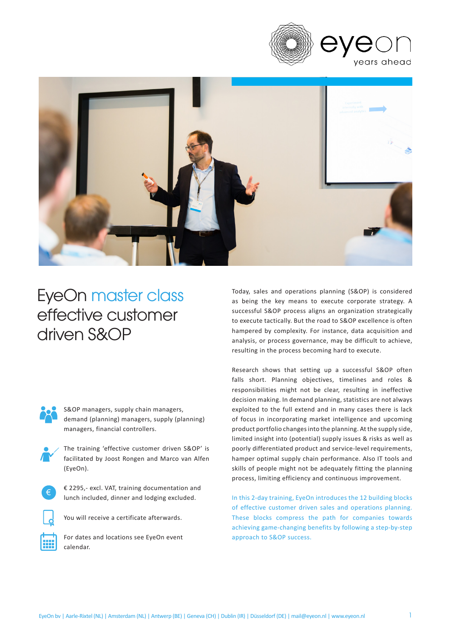



# EyeOn master class effective customer driven S&OP



S&OP managers, supply chain managers, demand (planning) managers, supply (planning) managers, financial controllers.





€ 2295,- excl. VAT, training documentation and lunch included, dinner and lodging excluded.



You will receive a certificate afterwards.



For dates and locations see EyeOn event calendar.

Today, sales and operations planning (S&OP) is considered as being the key means to execute corporate strategy. A successful S&OP process aligns an organization strategically to execute tactically. But the road to S&OP excellence is often hampered by complexity. For instance, data acquisition and analysis, or process governance, may be difficult to achieve, resulting in the process becoming hard to execute.

Research shows that setting up a successful S&OP often falls short. Planning objectives, timelines and roles & responsibilities might not be clear, resulting in ineffective decision making. In demand planning, statistics are not always exploited to the full extend and in many cases there is lack of focus in incorporating market intelligence and upcoming product portfolio changes into the planning. At the supply side, limited insight into (potential) supply issues & risks as well as poorly differentiated product and service-level requirements, hamper optimal supply chain performance. Also IT tools and skills of people might not be adequately fitting the planning process, limiting efficiency and continuous improvement.

In this 2-day training, EyeOn introduces the 12 building blocks of effective customer driven sales and operations planning. These blocks compress the path for companies towards achieving game-changing benefits by following a step-by-step approach to S&OP success.